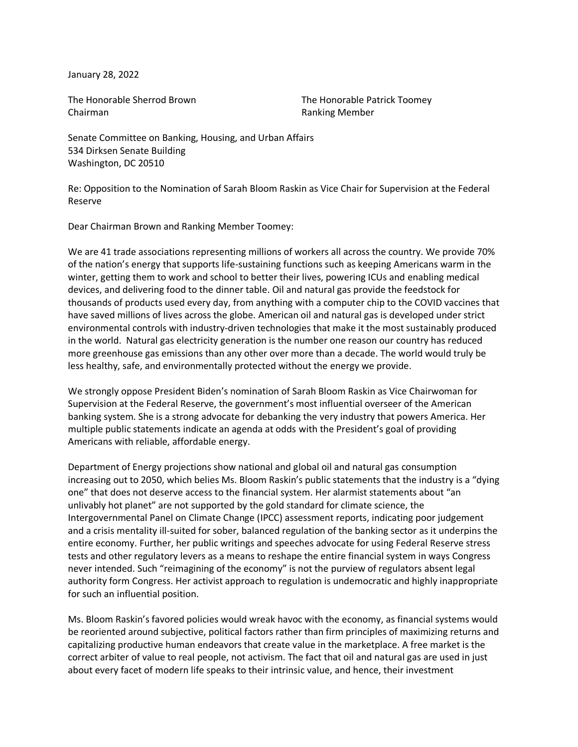January 28, 2022

The Honorable Sherrod Brown Chairman

The Honorable Patrick Toomey Ranking Member

Senate Committee on Banking, Housing, and Urban Affairs 534 Dirksen Senate Building Washington, DC 20510

Re: Opposition to the Nomination of Sarah Bloom Raskin as Vice Chair for Supervision at the Federal Reserve

Dear Chairman Brown and Ranking Member Toomey:

We are 41 trade associations representing millions of workers all across the country. We provide 70% of the nation's energy that supports life-sustaining functions such as keeping Americans warm in the winter, getting them to work and school to better their lives, powering ICUs and enabling medical devices, and delivering food to the dinner table. Oil and natural gas provide the feedstock for thousands of products used every day, from anything with a computer chip to the COVID vaccines that have saved millions of lives across the globe. American oil and natural gas is developed under strict environmental controls with industry-driven technologies that make it the most sustainably produced in the world. Natural gas electricity generation is the number one reason our country has reduced more greenhouse gas emissions than any other over more than a decade. The world would truly be less healthy, safe, and environmentally protected without the energy we provide.

We strongly oppose President Biden's nomination of Sarah Bloom Raskin as Vice Chairwoman for Supervision at the Federal Reserve, the government's most influential overseer of the American banking system. She is a strong advocate for debanking the very industry that powers America. Her multiple public statements indicate an agenda at odds with the President's goal of providing Americans with reliable, affordable energy.

Department of Energy projections show national and global oil and natural gas consumption increasing out to 2050, which belies Ms. Bloom Raskin's public statements that the industry is a "dying one" that does not deserve access to the financial system. Her alarmist statements about "an unlivably hot planet" are not supported by the gold standard for climate science, the Intergovernmental Panel on Climate Change (IPCC) assessment reports, indicating poor judgement and a crisis mentality ill-suited for sober, balanced regulation of the banking sector as it underpins the entire economy. Further, her public writings and speeches advocate for using Federal Reserve stress tests and other regulatory levers as a means to reshape the entire financial system in ways Congress never intended. Such "reimagining of the economy" is not the purview of regulators absent legal authority form Congress. Her activist approach to regulation is undemocratic and highly inappropriate for such an influential position.

Ms. Bloom Raskin's favored policies would wreak havoc with the economy, as financial systems would be reoriented around subjective, political factors rather than firm principles of maximizing returns and capitalizing productive human endeavors that create value in the marketplace. A free market is the correct arbiter of value to real people, not activism. The fact that oil and natural gas are used in just about every facet of modern life speaks to their intrinsic value, and hence, their investment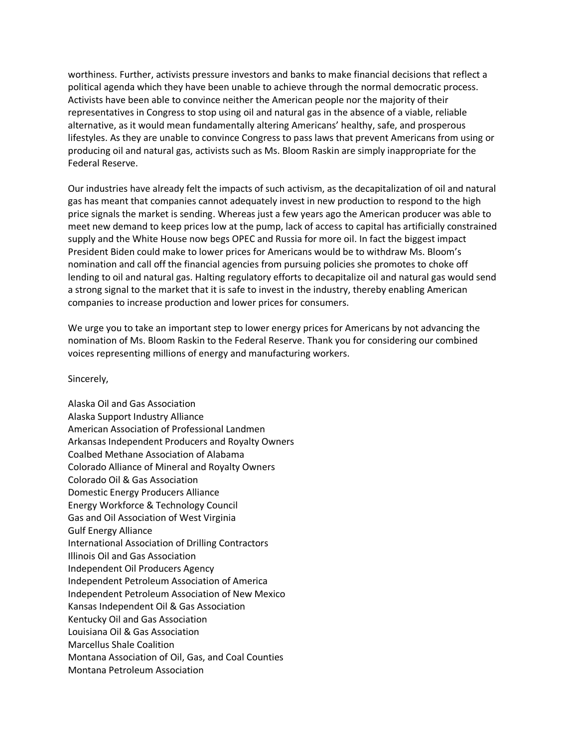worthiness. Further, activists pressure investors and banks to make financial decisions that reflect a political agenda which they have been unable to achieve through the normal democratic process. Activists have been able to convince neither the American people nor the majority of their representatives in Congress to stop using oil and natural gas in the absence of a viable, reliable alternative, as it would mean fundamentally altering Americans' healthy, safe, and prosperous lifestyles. As they are unable to convince Congress to pass laws that prevent Americans from using or producing oil and natural gas, activists such as Ms. Bloom Raskin are simply inappropriate for the Federal Reserve.

Our industries have already felt the impacts of such activism, as the decapitalization of oil and natural gas has meant that companies cannot adequately invest in new production to respond to the high price signals the market is sending. Whereas just a few years ago the American producer was able to meet new demand to keep prices low at the pump, lack of access to capital has artificially constrained supply and the White House now begs OPEC and Russia for more oil. In fact the biggest impact President Biden could make to lower prices for Americans would be to withdraw Ms. Bloom's nomination and call off the financial agencies from pursuing policies she promotes to choke off lending to oil and natural gas. Halting regulatory efforts to decapitalize oil and natural gas would send a strong signal to the market that it is safe to invest in the industry, thereby enabling American companies to increase production and lower prices for consumers.

We urge you to take an important step to lower energy prices for Americans by not advancing the nomination of Ms. Bloom Raskin to the Federal Reserve. Thank you for considering our combined voices representing millions of energy and manufacturing workers.

Sincerely,

Alaska Oil and Gas Association Alaska Support Industry Alliance American Association of Professional Landmen Arkansas Independent Producers and Royalty Owners Coalbed Methane Association of Alabama Colorado Alliance of Mineral and Royalty Owners Colorado Oil & Gas Association Domestic Energy Producers Alliance Energy Workforce & Technology Council Gas and Oil Association of West Virginia Gulf Energy Alliance International Association of Drilling Contractors Illinois Oil and Gas Association Independent Oil Producers Agency Independent Petroleum Association of America Independent Petroleum Association of New Mexico Kansas Independent Oil & Gas Association Kentucky Oil and Gas Association Louisiana Oil & Gas Association Marcellus Shale Coalition Montana Association of Oil, Gas, and Coal Counties Montana Petroleum Association